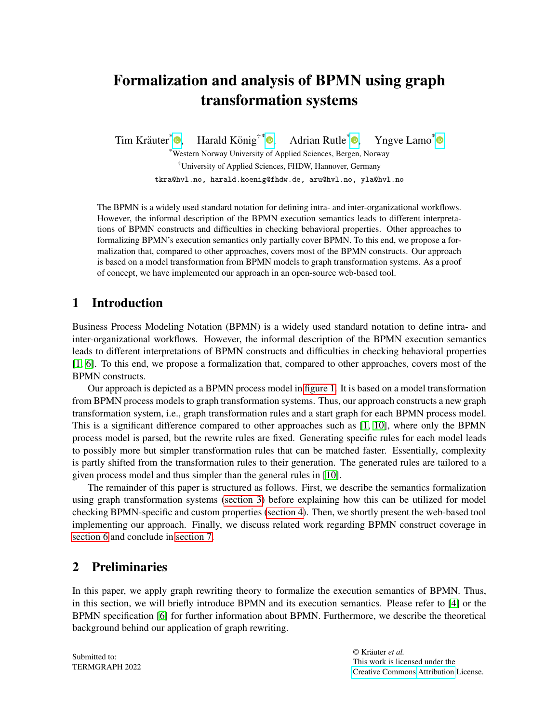# Formalization and analysis of BPMN using graph transformation systems

Tim Kräuter<sup>\*</sup> Harald König<sup>†\*</sup> $\bullet$ [,](https://orcid.org/0000-0003-1795-0611) Adrian Rutle $*$   $\bullet$ , Yngve Lamo<sup>[\\*](https://orcid.org/0000-0001-9196-1779)</sup> \*Western Norway University of Applied Sciences, Bergen, Norway †University of Applied Sciences, FHDW, Hannover, Germany

tkra@hvl.no, harald.koenig@fhdw.de, aru@hvl.no, yla@hvl.no

The BPMN is a widely used standard notation for defining intra- and inter-organizational workflows. However, the informal description of the BPMN execution semantics leads to different interpretations of BPMN constructs and difficulties in checking behavioral properties. Other approaches to formalizing BPMN's execution semantics only partially cover BPMN. To this end, we propose a formalization that, compared to other approaches, covers most of the BPMN constructs. Our approach is based on a model transformation from BPMN models to graph transformation systems. As a proof of concept, we have implemented our approach in an open-source web-based tool.

## 1 Introduction

Business Process Modeling Notation (BPMN) is a widely used standard notation to define intra- and inter-organizational workflows. However, the informal description of the BPMN execution semantics leads to different interpretations of BPMN constructs and difficulties in checking behavioral properties [\[1,](#page-9-0) [6\]](#page-9-1). To this end, we propose a formalization that, compared to other approaches, covers most of the BPMN constructs.

Our approach is depicted as a BPMN process model in [figure 1.](#page-1-0) It is based on a model transformation from BPMN process models to graph transformation systems. Thus, our approach constructs a new graph transformation system, i.e., graph transformation rules and a start graph for each BPMN process model. This is a significant difference compared to other approaches such as [\[1,](#page-9-0) [10\]](#page-9-2), where only the BPMN process model is parsed, but the rewrite rules are fixed. Generating specific rules for each model leads to possibly more but simpler transformation rules that can be matched faster. Essentially, complexity is partly shifted from the transformation rules to their generation. The generated rules are tailored to a given process model and thus simpler than the general rules in [\[10\]](#page-9-2).

The remainder of this paper is structured as follows. First, we describe the semantics formalization using graph transformation systems [\(section 3\)](#page-2-0) before explaining how this can be utilized for model checking BPMN-specific and custom properties [\(section 4\)](#page-5-0). Then, we shortly present the web-based tool implementing our approach. Finally, we discuss related work regarding BPMN construct coverage in [section 6](#page-7-0) and conclude in [section 7.](#page-7-1)

## 2 Preliminaries

In this paper, we apply graph rewriting theory to formalize the execution semantics of BPMN. Thus, in this section, we will briefly introduce BPMN and its execution semantics. Please refer to [\[4\]](#page-9-3) or the BPMN specification [\[6\]](#page-9-1) for further information about BPMN. Furthermore, we describe the theoretical background behind our application of graph rewriting.

Submitted to: TERMGRAPH 2022 © Kräuter *et al.* This work is licensed under the [Creative Commons](https://creativecommons.org) [Attribution](https://creativecommons.org/licenses/by/4.0/) License.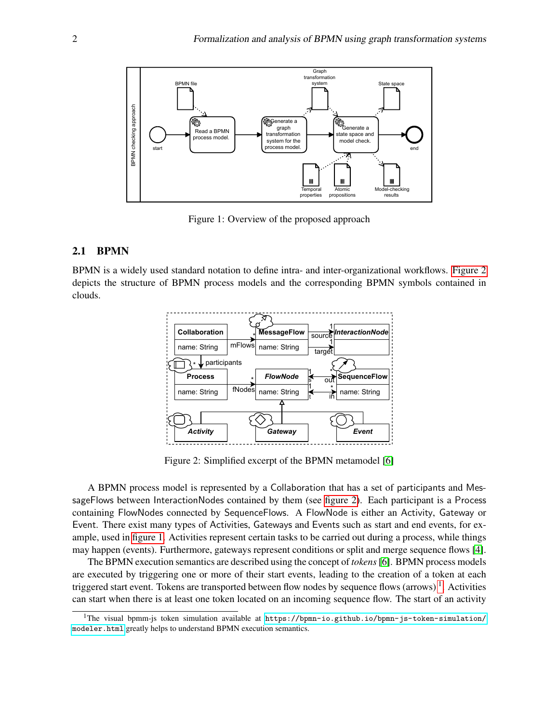<span id="page-1-0"></span>

Figure 1: Overview of the proposed approach

#### 2.1 BPMN

<span id="page-1-1"></span>BPMN is a widely used standard notation to define intra- and inter-organizational workflows. [Figure 2](#page-1-1) depicts the structure of BPMN process models and the corresponding BPMN symbols contained in clouds.



Figure 2: Simplified excerpt of the BPMN metamodel [\[6\]](#page-9-1)

A BPMN process model is represented by a Collaboration that has a set of participants and MessageFlows between InteractionNodes contained by them (see [figure 2\)](#page-1-1). Each participant is a Process containing FlowNodes connected by SequenceFlows. A FlowNode is either an Activity, Gateway or Event. There exist many types of Activities, Gateways and Events such as start and end events, for example, used in [figure 1.](#page-1-0) Activities represent certain tasks to be carried out during a process, while things may happen (events). Furthermore, gateways represent conditions or split and merge sequence flows [\[4\]](#page-9-3).

The BPMN execution semantics are described using the concept of *tokens*[\[6\]](#page-9-1). BPMN process models are executed by triggering one or more of their start events, leading to the creation of a token at each triggered start event. Tokens are transported between flow nodes by sequence flows (arrows)  $^1$  $^1$ . Activities can start when there is at least one token located on an incoming sequence flow. The start of an activity

<span id="page-1-2"></span><sup>&</sup>lt;sup>1</sup>The visual bpmm-js token simulation available at [https://bpmn-io.github.io/bpmn-js-token-simulation/](https://bpmn-io.github.io/bpmn-js-token-simulation/modeler.html) [modeler.html](https://bpmn-io.github.io/bpmn-js-token-simulation/modeler.html) greatly helps to understand BPMN execution semantics.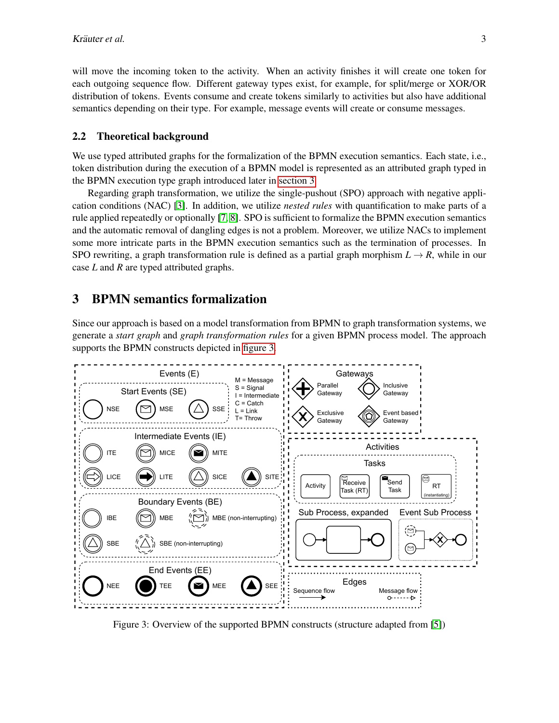will move the incoming token to the activity. When an activity finishes it will create one token for each outgoing sequence flow. Different gateway types exist, for example, for split/merge or XOR/OR distribution of tokens. Events consume and create tokens similarly to activities but also have additional semantics depending on their type. For example, message events will create or consume messages.

#### 2.2 Theoretical background

We use typed attributed graphs for the formalization of the BPMN execution semantics. Each state, i.e., token distribution during the execution of a BPMN model is represented as an attributed graph typed in the BPMN execution type graph introduced later in [section 3.](#page-2-0)

Regarding graph transformation, we utilize the single-pushout (SPO) approach with negative application conditions (NAC) [\[3\]](#page-9-4). In addition, we utilize *nested rules* with quantification to make parts of a rule applied repeatedly or optionally [\[7,](#page-9-5) [8\]](#page-9-6). SPO is sufficient to formalize the BPMN execution semantics and the automatic removal of dangling edges is not a problem. Moreover, we utilize NACs to implement some more intricate parts in the BPMN execution semantics such as the termination of processes. In SPO rewriting, a graph transformation rule is defined as a partial graph morphism  $L \rightarrow R$ , while in our case *L* and *R* are typed attributed graphs.

## <span id="page-2-0"></span>3 BPMN semantics formalization

Since our approach is based on a model transformation from BPMN to graph transformation systems, we generate a *start graph* and *graph transformation rules* for a given BPMN process model. The approach supports the BPMN constructs depicted in [figure 3.](#page-2-1)

<span id="page-2-1"></span>

Figure 3: Overview of the supported BPMN constructs (structure adapted from [\[5\]](#page-9-7))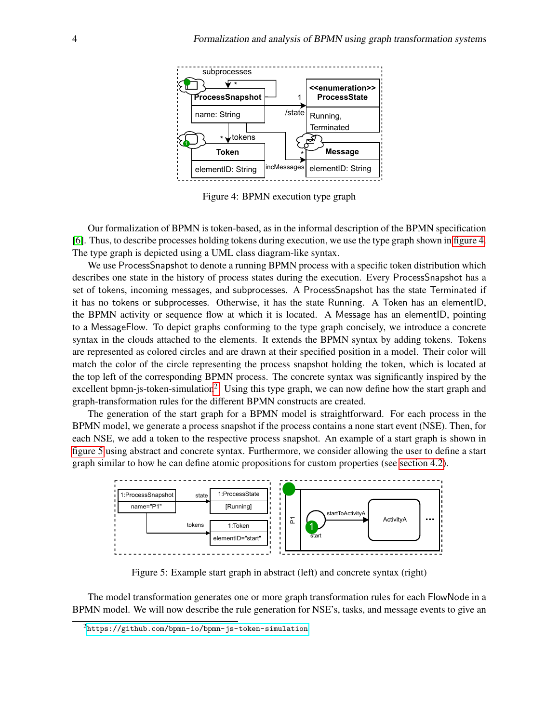<span id="page-3-0"></span>

Figure 4: BPMN execution type graph

Our formalization of BPMN is token-based, as in the informal description of the BPMN specification [\[6\]](#page-9-1). Thus, to describe processes holding tokens during execution, we use the type graph shown in [figure 4.](#page-3-0) The type graph is depicted using a UML class diagram-like syntax.

We use ProcessSnapshot to denote a running BPMN process with a specific token distribution which describes one state in the history of process states during the execution. Every ProcessSnapshot has a set of tokens, incoming messages, and subprocesses. A ProcessSnapshot has the state Terminated if it has no tokens or subprocesses. Otherwise, it has the state Running. A Token has an elementID, the BPMN activity or sequence flow at which it is located. A Message has an elementID, pointing to a MessageFlow. To depict graphs conforming to the type graph concisely, we introduce a concrete syntax in the clouds attached to the elements. It extends the BPMN syntax by adding tokens. Tokens are represented as colored circles and are drawn at their specified position in a model. Their color will match the color of the circle representing the process snapshot holding the token, which is located at the top left of the corresponding BPMN process. The concrete syntax was significantly inspired by the excellent bpmn-js-token-simulation<sup>[2](#page-3-1)</sup>. Using this type graph, we can now define how the start graph and graph-transformation rules for the different BPMN constructs are created.

The generation of the start graph for a BPMN model is straightforward. For each process in the BPMN model, we generate a process snapshot if the process contains a none start event (NSE). Then, for each NSE, we add a token to the respective process snapshot. An example of a start graph is shown in [figure 5](#page-3-2) using abstract and concrete syntax. Furthermore, we consider allowing the user to define a start graph similar to how he can define atomic propositions for custom properties (see [section 4.2\)](#page-5-1).

<span id="page-3-2"></span>

Figure 5: Example start graph in abstract (left) and concrete syntax (right)

The model transformation generates one or more graph transformation rules for each FlowNode in a BPMN model. We will now describe the rule generation for NSE's, tasks, and message events to give an

<span id="page-3-1"></span> $2$ <https://github.com/bpmn-io/bpmn-js-token-simulation>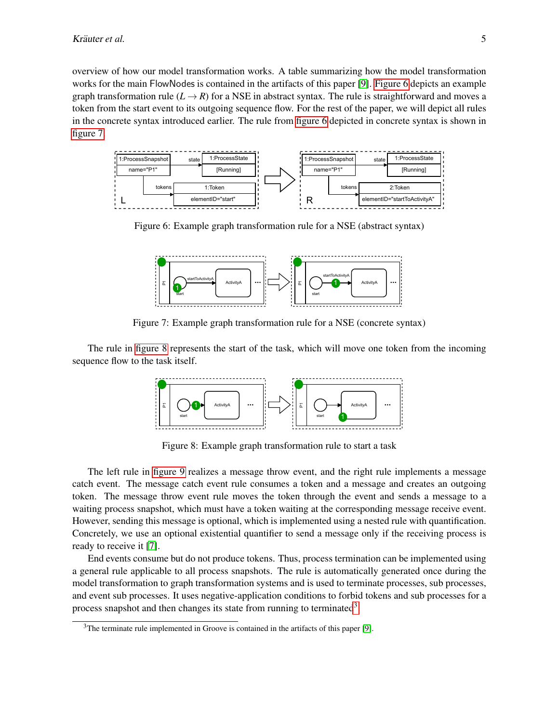overview of how our model transformation works. A table summarizing how the model transformation works for the main FlowNodes is contained in the artifacts of this paper [\[9\]](#page-9-8). [Figure 6](#page-4-0) depicts an example graph transformation rule  $(L \rightarrow R)$  for a NSE in abstract syntax. The rule is straightforward and moves a token from the start event to its outgoing sequence flow. For the rest of the paper, we will depict all rules in the concrete syntax introduced earlier. The rule from [figure 6](#page-4-0) depicted in concrete syntax is shown in [figure 7.](#page-4-1)

<span id="page-4-0"></span>

<span id="page-4-1"></span>Figure 6: Example graph transformation rule for a NSE (abstract syntax)



Figure 7: Example graph transformation rule for a NSE (concrete syntax)

<span id="page-4-2"></span>The rule in [figure 8](#page-4-2) represents the start of the task, which will move one token from the incoming sequence flow to the task itself.



Figure 8: Example graph transformation rule to start a task

The left rule in [figure 9](#page-5-2) realizes a message throw event, and the right rule implements a message catch event. The message catch event rule consumes a token and a message and creates an outgoing token. The message throw event rule moves the token through the event and sends a message to a waiting process snapshot, which must have a token waiting at the corresponding message receive event. However, sending this message is optional, which is implemented using a nested rule with quantification. Concretely, we use an optional existential quantifier to send a message only if the receiving process is ready to receive it [\[7\]](#page-9-5).

End events consume but do not produce tokens. Thus, process termination can be implemented using a general rule applicable to all process snapshots. The rule is automatically generated once during the model transformation to graph transformation systems and is used to terminate processes, sub processes, and event sub processes. It uses negative-application conditions to forbid tokens and sub processes for a process snapshot and then changes its state from running to terminated<sup>[3](#page-4-3)</sup>.

<span id="page-4-3"></span> $3$ The terminate rule implemented in Groove is contained in the artifacts of this paper [\[9\]](#page-9-8).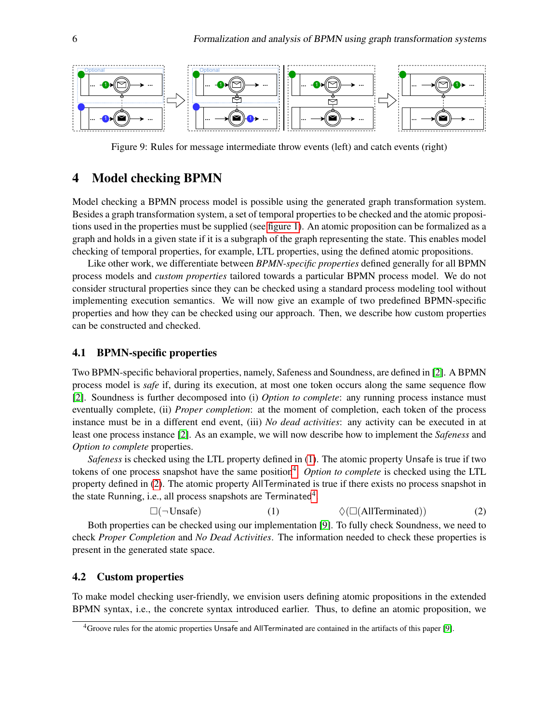<span id="page-5-2"></span>

Figure 9: Rules for message intermediate throw events (left) and catch events (right)

## <span id="page-5-0"></span>4 Model checking BPMN

Model checking a BPMN process model is possible using the generated graph transformation system. Besides a graph transformation system, a set of temporal properties to be checked and the atomic propositions used in the properties must be supplied (see [figure 1\)](#page-1-0). An atomic proposition can be formalized as a graph and holds in a given state if it is a subgraph of the graph representing the state. This enables model checking of temporal properties, for example, LTL properties, using the defined atomic propositions.

Like other work, we differentiate between *BPMN-specific properties* defined generally for all BPMN process models and *custom properties* tailored towards a particular BPMN process model. We do not consider structural properties since they can be checked using a standard process modeling tool without implementing execution semantics. We will now give an example of two predefined BPMN-specific properties and how they can be checked using our approach. Then, we describe how custom properties can be constructed and checked.

#### 4.1 BPMN-specific properties

Two BPMN-specific behavioral properties, namely, Safeness and Soundness, are defined in [\[2\]](#page-9-9). A BPMN process model is *safe* if, during its execution, at most one token occurs along the same sequence flow [\[2\]](#page-9-9). Soundness is further decomposed into (i) *Option to complete*: any running process instance must eventually complete, (ii) *Proper completion*: at the moment of completion, each token of the process instance must be in a different end event, (iii) *No dead activities*: any activity can be executed in at least one process instance [\[2\]](#page-9-9). As an example, we will now describe how to implement the *Safeness* and *Option to complete* properties.

*Safeness* is checked using the LTL property defined in [\(1\)](#page-5-3). The atomic property Unsafe is true if two tokens of one process snapshot have the same position<sup>[4](#page-5-4)</sup>. Option to complete is checked using the LTL property defined in [\(2\)](#page-5-5). The atomic property AllTerminated is true if there exists no process snapshot in the state Running, i.e., all process snapshots are Terminated<sup>[4](#page-5-4)</sup>.

<span id="page-5-5"></span> $\square(\neg \text{Unsafe})$  (1)  $\diamondsuit(\square(\text{AllTerminated}))$  (2)

<span id="page-5-3"></span>Both properties can be checked using our implementation [\[9\]](#page-9-8). To fully check Soundness, we need to check *Proper Completion* and *No Dead Activities*. The information needed to check these properties is present in the generated state space.

### <span id="page-5-1"></span>4.2 Custom properties

To make model checking user-friendly, we envision users defining atomic propositions in the extended BPMN syntax, i.e., the concrete syntax introduced earlier. Thus, to define an atomic proposition, we

<span id="page-5-4"></span><sup>4</sup>Groove rules for the atomic properties Unsafe and AllTerminated are contained in the artifacts of this paper [\[9\]](#page-9-8).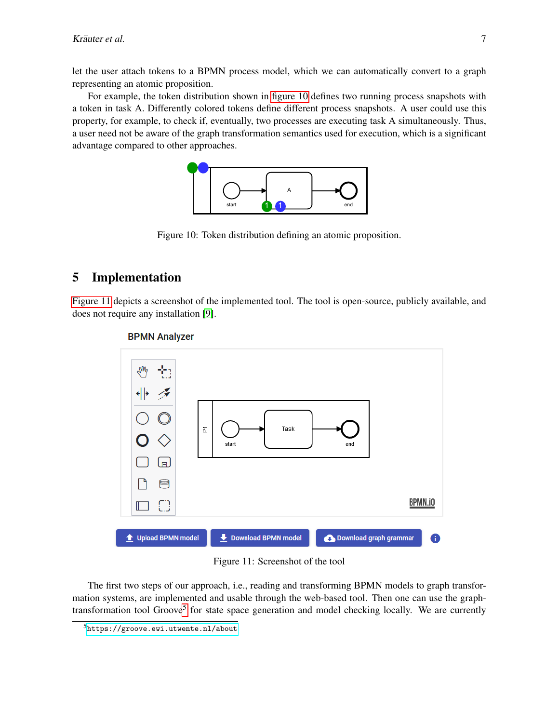let the user attach tokens to a BPMN process model, which we can automatically convert to a graph representing an atomic proposition.

<span id="page-6-0"></span>For example, the token distribution shown in [figure 10](#page-6-0) defines two running process snapshots with a token in task A. Differently colored tokens define different process snapshots. A user could use this property, for example, to check if, eventually, two processes are executing task A simultaneously. Thus, a user need not be aware of the graph transformation semantics used for execution, which is a significant advantage compared to other approaches.



Figure 10: Token distribution defining an atomic proposition.

## 5 Implementation

<span id="page-6-1"></span>[Figure 11](#page-6-1) depicts a screenshot of the implemented tool. The tool is open-source, publicly available, and does not require any installation [\[9\]](#page-9-8).



#### **BPMN Analyzer**

Figure 11: Screenshot of the tool

The first two steps of our approach, i.e., reading and transforming BPMN models to graph transformation systems, are implemented and usable through the web-based tool. Then one can use the graph-transformation tool Groove<sup>[5](#page-6-2)</sup> for state space generation and model checking locally. We are currently

<span id="page-6-2"></span><sup>5</sup><https://groove.ewi.utwente.nl/about>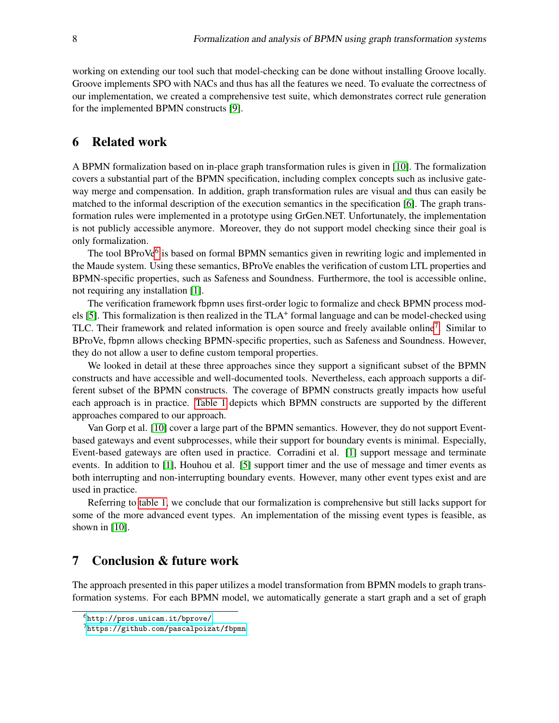working on extending our tool such that model-checking can be done without installing Groove locally. Groove implements SPO with NACs and thus has all the features we need. To evaluate the correctness of our implementation, we created a comprehensive test suite, which demonstrates correct rule generation for the implemented BPMN constructs [\[9\]](#page-9-8).

### <span id="page-7-0"></span>6 Related work

A BPMN formalization based on in-place graph transformation rules is given in [\[10\]](#page-9-2). The formalization covers a substantial part of the BPMN specification, including complex concepts such as inclusive gateway merge and compensation. In addition, graph transformation rules are visual and thus can easily be matched to the informal description of the execution semantics in the specification [\[6\]](#page-9-1). The graph transformation rules were implemented in a prototype using GrGen.NET. Unfortunately, the implementation is not publicly accessible anymore. Moreover, they do not support model checking since their goal is only formalization.

The tool BProVe<sup>[6](#page-7-2)</sup> is based on formal BPMN semantics given in rewriting logic and implemented in the Maude system. Using these semantics, BProVe enables the verification of custom LTL properties and BPMN-specific properties, such as Safeness and Soundness. Furthermore, the tool is accessible online, not requiring any installation [\[1\]](#page-9-0).

The verification framework fbpmn uses first-order logic to formalize and check BPMN process mod-els [\[5\]](#page-9-7). This formalization is then realized in the TLA<sup>+</sup> formal language and can be model-checked using TLC. Their framework and related information is open source and freely available online<sup>[7](#page-7-3)</sup>. Similar to BProVe, fbpmn allows checking BPMN-specific properties, such as Safeness and Soundness. However, they do not allow a user to define custom temporal properties.

We looked in detail at these three approaches since they support a significant subset of the BPMN constructs and have accessible and well-documented tools. Nevertheless, each approach supports a different subset of the BPMN constructs. The coverage of BPMN constructs greatly impacts how useful each approach is in practice. [Table 1](#page-8-0) depicts which BPMN constructs are supported by the different approaches compared to our approach.

Van Gorp et al. [\[10\]](#page-9-2) cover a large part of the BPMN semantics. However, they do not support Eventbased gateways and event subprocesses, while their support for boundary events is minimal. Especially, Event-based gateways are often used in practice. Corradini et al. [\[1\]](#page-9-0) support message and terminate events. In addition to [\[1\]](#page-9-0), Houhou et al. [\[5\]](#page-9-7) support timer and the use of message and timer events as both interrupting and non-interrupting boundary events. However, many other event types exist and are used in practice.

Referring to [table 1,](#page-8-0) we conclude that our formalization is comprehensive but still lacks support for some of the more advanced event types. An implementation of the missing event types is feasible, as shown in [\[10\]](#page-9-2).

## <span id="page-7-1"></span>7 Conclusion & future work

The approach presented in this paper utilizes a model transformation from BPMN models to graph transformation systems. For each BPMN model, we automatically generate a start graph and a set of graph

<span id="page-7-2"></span><sup>6</sup><http://pros.unicam.it/bprove/>

<span id="page-7-3"></span><sup>7</sup><https://github.com/pascalpoizat/fbpmn>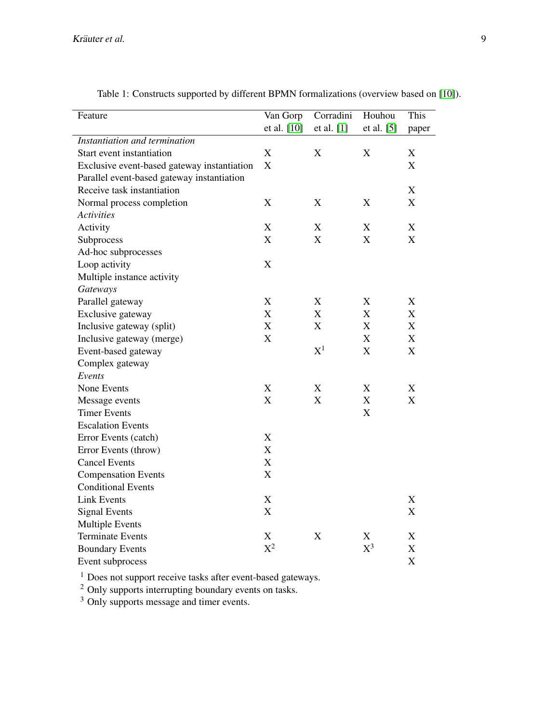<span id="page-8-0"></span>

| Feature                                     | Van Gorp                  | Corradini                 | Houhou                    | This                      |
|---------------------------------------------|---------------------------|---------------------------|---------------------------|---------------------------|
|                                             | et al. [10]               | et al. [1]                | et al. [5]                | paper                     |
| Instantiation and termination               |                           |                           |                           |                           |
| Start event instantiation                   | $\mathbf X$               | X                         | X                         | $\mathbf X$               |
| Exclusive event-based gateway instantiation | $\boldsymbol{\mathrm{X}}$ |                           |                           | X                         |
| Parallel event-based gateway instantiation  |                           |                           |                           |                           |
| Receive task instantiation                  |                           |                           |                           | X                         |
| Normal process completion                   | $\boldsymbol{\mathrm{X}}$ | $\mathbf X$               | $\mathbf X$               | X                         |
| <b>Activities</b>                           |                           |                           |                           |                           |
| Activity                                    | $\mathbf X$               | $\mathbf X$               | $\mathbf X$               | $\mathbf X$               |
| Subprocess                                  | $\boldsymbol{\mathrm{X}}$ | $\boldsymbol{\mathrm{X}}$ | $\mathbf X$               | $\mathbf X$               |
| Ad-hoc subprocesses                         |                           |                           |                           |                           |
| Loop activity                               | $\mathbf X$               |                           |                           |                           |
| Multiple instance activity                  |                           |                           |                           |                           |
| Gateways                                    |                           |                           |                           |                           |
| Parallel gateway                            | $\boldsymbol{\mathrm{X}}$ | $\boldsymbol{\mathrm{X}}$ | $\mathbf X$               | X                         |
| Exclusive gateway                           | $\mathbf X$               | X                         | X                         | X                         |
| Inclusive gateway (split)                   | X                         | $\boldsymbol{\mathrm{X}}$ | $\boldsymbol{\mathrm{X}}$ | $\boldsymbol{\mathrm{X}}$ |
| Inclusive gateway (merge)                   | X                         |                           | X                         | $\boldsymbol{\mathrm{X}}$ |
| Event-based gateway                         |                           | $\mathrm{X}^1$            | $\boldsymbol{\mathrm{X}}$ | X                         |
| Complex gateway                             |                           |                           |                           |                           |
| Events                                      |                           |                           |                           |                           |
| None Events                                 | X                         | $\boldsymbol{\mathrm{X}}$ | $\boldsymbol{\mathrm{X}}$ | $\boldsymbol{\mathrm{X}}$ |
| Message events                              | $\boldsymbol{\mathrm{X}}$ | $\boldsymbol{\mathrm{X}}$ | $\boldsymbol{\mathrm{X}}$ | $\boldsymbol{\mathrm{X}}$ |
| <b>Timer Events</b>                         |                           |                           | $\boldsymbol{\mathrm{X}}$ |                           |
| <b>Escalation Events</b>                    |                           |                           |                           |                           |
| Error Events (catch)                        | $\boldsymbol{\mathrm{X}}$ |                           |                           |                           |
| Error Events (throw)                        | $\boldsymbol{\mathrm{X}}$ |                           |                           |                           |
| <b>Cancel Events</b>                        | $\boldsymbol{\mathrm{X}}$ |                           |                           |                           |
| <b>Compensation Events</b>                  | $\mathbf X$               |                           |                           |                           |
| <b>Conditional Events</b>                   |                           |                           |                           |                           |
| <b>Link Events</b>                          | $\boldsymbol{\mathrm{X}}$ |                           |                           | X                         |
| <b>Signal Events</b>                        | $\boldsymbol{\mathrm{X}}$ |                           |                           | X                         |
| <b>Multiple Events</b>                      |                           |                           |                           |                           |
| <b>Terminate Events</b>                     | $\boldsymbol{\mathrm{X}}$ | $\mathbf X$               | $\boldsymbol{\mathrm{X}}$ | $\mathbf X$               |
| <b>Boundary Events</b>                      | $X^2$                     |                           | $\mathrm{X}^3$            | X                         |
| Event subprocess                            |                           |                           |                           | X                         |

Table 1: Constructs supported by different BPMN formalizations (overview based on [\[10\]](#page-9-2)).

<sup>1</sup> Does not support receive tasks after event-based gateways.

 $2$  Only supports interrupting boundary events on tasks.

<sup>3</sup> Only supports message and timer events.